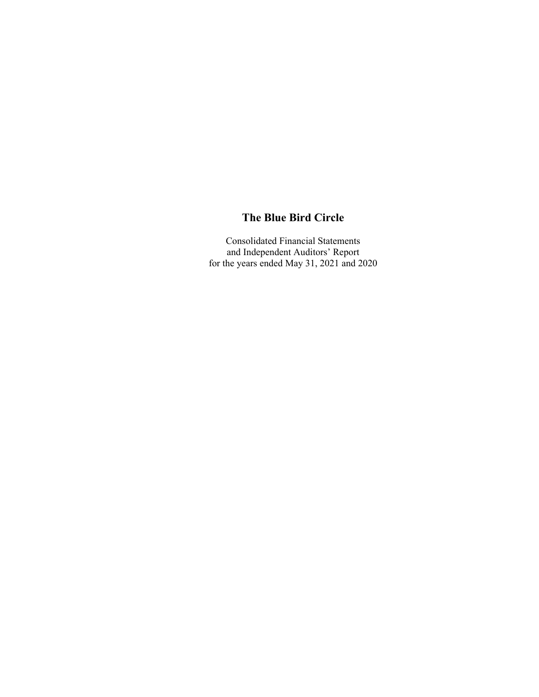Consolidated Financial Statements and Independent Auditors' Report for the years ended May 31, 2021 and 2020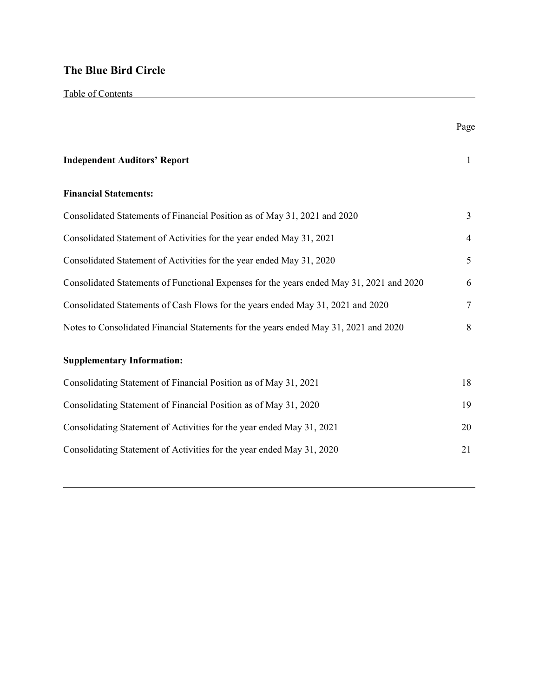|                                                                                          | Page           |
|------------------------------------------------------------------------------------------|----------------|
| <b>Independent Auditors' Report</b>                                                      | $\mathbf{1}$   |
| <b>Financial Statements:</b>                                                             |                |
| Consolidated Statements of Financial Position as of May 31, 2021 and 2020                | $\overline{3}$ |
| Consolidated Statement of Activities for the year ended May 31, 2021                     | 4              |
| Consolidated Statement of Activities for the year ended May 31, 2020                     | 5              |
| Consolidated Statements of Functional Expenses for the years ended May 31, 2021 and 2020 | 6              |
| Consolidated Statements of Cash Flows for the years ended May 31, 2021 and 2020          | $\overline{7}$ |
| Notes to Consolidated Financial Statements for the years ended May 31, 2021 and 2020     | 8              |
| <b>Supplementary Information:</b>                                                        |                |
| Consolidating Statement of Financial Position as of May 31, 2021                         | 18             |
| Consolidating Statement of Financial Position as of May 31, 2020                         | 19             |
| Consolidating Statement of Activities for the year ended May 31, 2021                    | 20             |
| Consolidating Statement of Activities for the year ended May 31, 2020                    | 21             |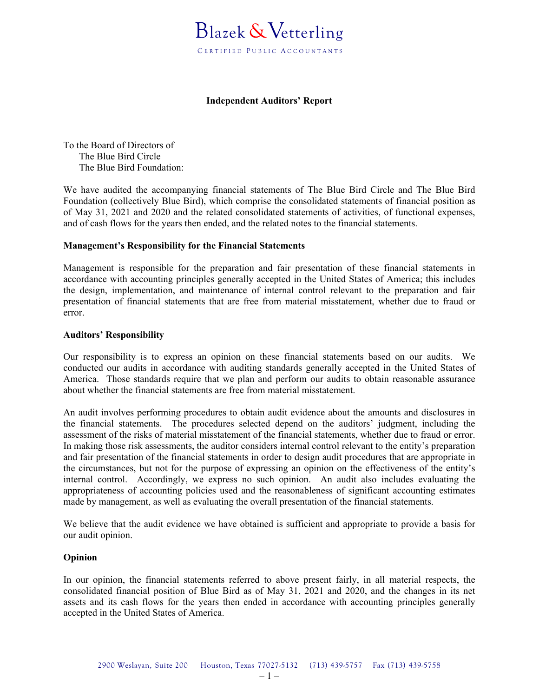

#### **Independent Auditors' Report**

To the Board of Directors of The Blue Bird Circle The Blue Bird Foundation:

We have audited the accompanying financial statements of The Blue Bird Circle and The Blue Bird Foundation (collectively Blue Bird), which comprise the consolidated statements of financial position as of May 31, 2021 and 2020 and the related consolidated statements of activities, of functional expenses, and of cash flows for the years then ended, and the related notes to the financial statements.

#### **Management's Responsibility for the Financial Statements**

Management is responsible for the preparation and fair presentation of these financial statements in accordance with accounting principles generally accepted in the United States of America; this includes the design, implementation, and maintenance of internal control relevant to the preparation and fair presentation of financial statements that are free from material misstatement, whether due to fraud or error.

#### **Auditors' Responsibility**

Our responsibility is to express an opinion on these financial statements based on our audits. We conducted our audits in accordance with auditing standards generally accepted in the United States of America. Those standards require that we plan and perform our audits to obtain reasonable assurance about whether the financial statements are free from material misstatement.

An audit involves performing procedures to obtain audit evidence about the amounts and disclosures in the financial statements. The procedures selected depend on the auditors' judgment, including the assessment of the risks of material misstatement of the financial statements, whether due to fraud or error. In making those risk assessments, the auditor considers internal control relevant to the entity's preparation and fair presentation of the financial statements in order to design audit procedures that are appropriate in the circumstances, but not for the purpose of expressing an opinion on the effectiveness of the entity's internal control. Accordingly, we express no such opinion. An audit also includes evaluating the appropriateness of accounting policies used and the reasonableness of significant accounting estimates made by management, as well as evaluating the overall presentation of the financial statements.

We believe that the audit evidence we have obtained is sufficient and appropriate to provide a basis for our audit opinion.

#### **Opinion**

In our opinion, the financial statements referred to above present fairly, in all material respects, the consolidated financial position of Blue Bird as of May 31, 2021 and 2020, and the changes in its net assets and its cash flows for the years then ended in accordance with accounting principles generally accepted in the United States of America.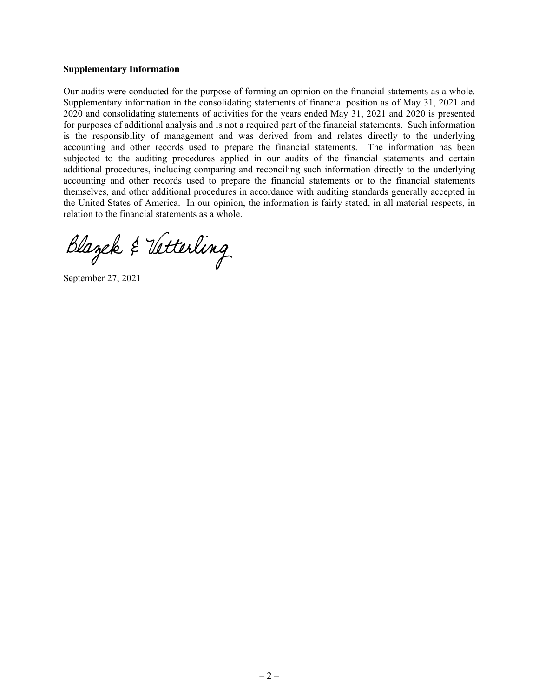#### **Supplementary Information**

Our audits were conducted for the purpose of forming an opinion on the financial statements as a whole. Supplementary information in the consolidating statements of financial position as of May 31, 2021 and 2020 and consolidating statements of activities for the years ended May 31, 2021 and 2020 is presented for purposes of additional analysis and is not a required part of the financial statements. Such information is the responsibility of management and was derived from and relates directly to the underlying accounting and other records used to prepare the financial statements. The information has been subjected to the auditing procedures applied in our audits of the financial statements and certain additional procedures, including comparing and reconciling such information directly to the underlying accounting and other records used to prepare the financial statements or to the financial statements themselves, and other additional procedures in accordance with auditing standards generally accepted in the United States of America. In our opinion, the information is fairly stated, in all material respects, in relation to the financial statements as a whole.

Blazek & Vetterling

September 27, 2021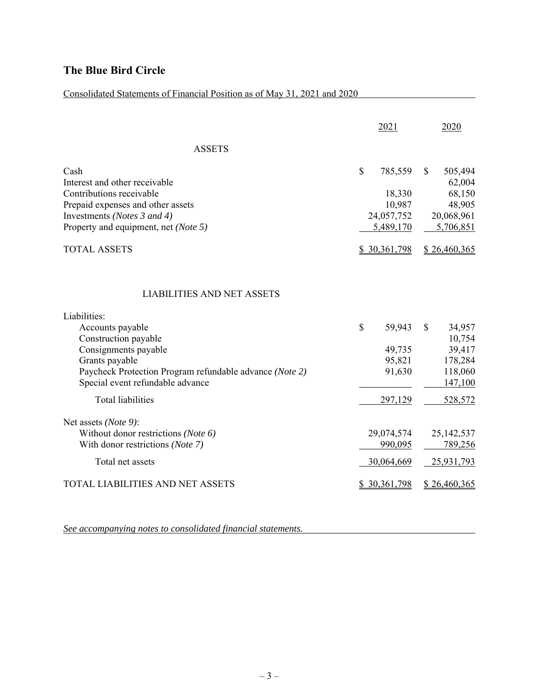### Consolidated Statements of Financial Position as of May 31, 2021 and 2020

|                                                                                                                                                                                                                                        | 2021                                                                  | 2020                                                                        |
|----------------------------------------------------------------------------------------------------------------------------------------------------------------------------------------------------------------------------------------|-----------------------------------------------------------------------|-----------------------------------------------------------------------------|
| <b>ASSETS</b>                                                                                                                                                                                                                          |                                                                       |                                                                             |
| Cash<br>Interest and other receivable<br>Contributions receivable<br>Prepaid expenses and other assets<br>Investments (Notes 3 and 4)<br>Property and equipment, net (Note 5)                                                          | $\mathbf S$<br>785,559<br>18,330<br>10,987<br>24,057,752<br>5,489,170 | \$<br>505,494<br>62,004<br>68,150<br>48,905<br>20,068,961<br>5,706,851      |
| <b>TOTAL ASSETS</b>                                                                                                                                                                                                                    | \$30,361,798                                                          | \$26,460,365                                                                |
| <b>LIABILITIES AND NET ASSETS</b><br>Liabilities:<br>Accounts payable<br>Construction payable<br>Consignments payable<br>Grants payable<br>Paycheck Protection Program refundable advance (Note 2)<br>Special event refundable advance | \$<br>59,943<br>49,735<br>95,821<br>91,630                            | $\mathbb{S}$<br>34,957<br>10,754<br>39,417<br>178,284<br>118,060<br>147,100 |
| <b>Total liabilities</b>                                                                                                                                                                                                               | 297,129                                                               | 528,572                                                                     |
| Net assets (Note 9):<br>Without donor restrictions (Note 6)<br>With donor restrictions (Note 7)<br>Total net assets                                                                                                                    | 29,074,574<br>990,095<br>30,064,669                                   | 25, 142, 537<br>789,256<br>25,931,793                                       |
| TOTAL LIABILITIES AND NET ASSETS                                                                                                                                                                                                       | \$30,361,798                                                          | \$26,460,365                                                                |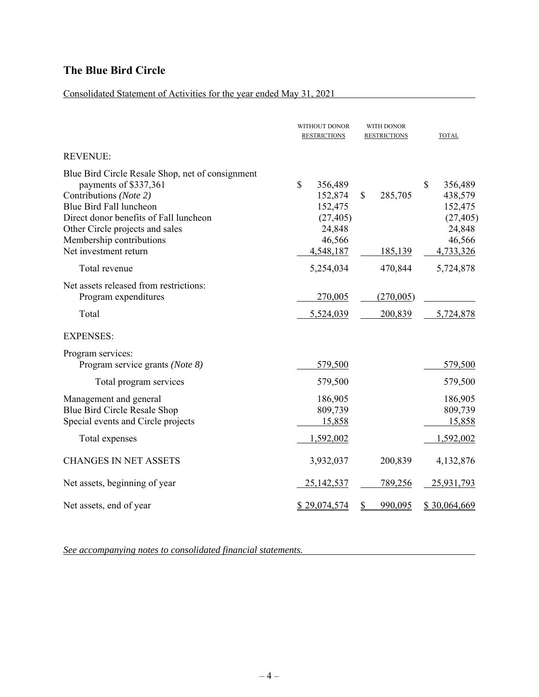### Consolidated Statement of Activities for the year ended May 31, 2021

|                                                                                                                                                                                                                                                                  | WITHOUT DONOR<br><b>RESTRICTIONS</b>                                              | WITH DONOR<br><b>RESTRICTIONS</b>  | <b>TOTAL</b>                                                                      |
|------------------------------------------------------------------------------------------------------------------------------------------------------------------------------------------------------------------------------------------------------------------|-----------------------------------------------------------------------------------|------------------------------------|-----------------------------------------------------------------------------------|
| <b>REVENUE:</b>                                                                                                                                                                                                                                                  |                                                                                   |                                    |                                                                                   |
| Blue Bird Circle Resale Shop, net of consignment<br>payments of \$337,361<br>Contributions (Note 2)<br>Blue Bird Fall luncheon<br>Direct donor benefits of Fall luncheon<br>Other Circle projects and sales<br>Membership contributions<br>Net investment return | \$<br>356,489<br>152,874<br>152,475<br>(27, 405)<br>24,848<br>46,566<br>4,548,187 | $\mathbb{S}$<br>285,705<br>185,139 | \$<br>356,489<br>438,579<br>152,475<br>(27, 405)<br>24,848<br>46,566<br>4,733,326 |
| Total revenue                                                                                                                                                                                                                                                    | 5,254,034                                                                         | 470,844                            | 5,724,878                                                                         |
| Net assets released from restrictions:<br>Program expenditures<br>Total                                                                                                                                                                                          | 270,005<br>5,524,039                                                              | (270,005)<br>200,839               | 5,724,878                                                                         |
| <b>EXPENSES:</b>                                                                                                                                                                                                                                                 |                                                                                   |                                    |                                                                                   |
| Program services:<br>Program service grants (Note 8)<br>Total program services                                                                                                                                                                                   | 579,500<br>579,500                                                                |                                    | 579,500<br>579,500                                                                |
| Management and general<br>Blue Bird Circle Resale Shop<br>Special events and Circle projects                                                                                                                                                                     | 186,905<br>809,739<br>15,858                                                      |                                    | 186,905<br>809,739<br>15,858                                                      |
| Total expenses                                                                                                                                                                                                                                                   | 1,592,002                                                                         |                                    | 1,592,002                                                                         |
| <b>CHANGES IN NET ASSETS</b>                                                                                                                                                                                                                                     | 3,932,037                                                                         | 200,839                            | 4,132,876                                                                         |
| Net assets, beginning of year                                                                                                                                                                                                                                    | 25, 142, 537                                                                      | 789,256                            | 25,931,793                                                                        |
| Net assets, end of year                                                                                                                                                                                                                                          | \$29,074,574                                                                      | 990,095<br>S                       | \$30,064,669                                                                      |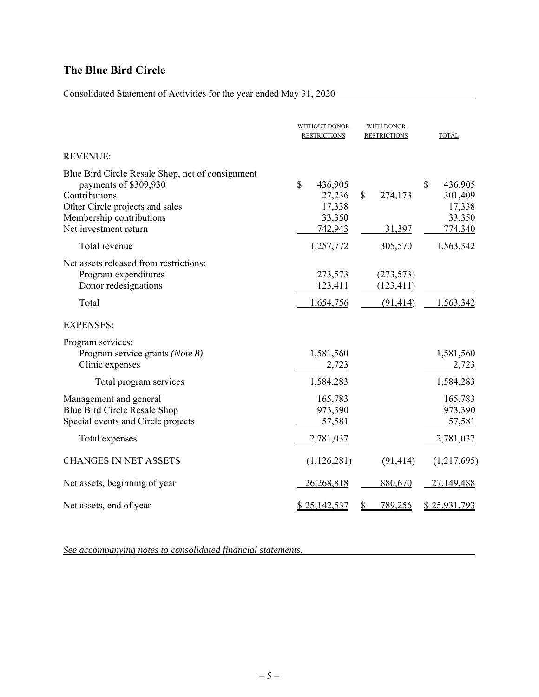### Consolidated Statement of Activities for the year ended May 31, 2020

|                                                                                                                                                                                    | WITHOUT DONOR<br><b>RESTRICTIONS</b>                   | WITH DONOR<br><b>RESTRICTIONS</b>     | <b>TOTAL</b>                                            |
|------------------------------------------------------------------------------------------------------------------------------------------------------------------------------------|--------------------------------------------------------|---------------------------------------|---------------------------------------------------------|
| <b>REVENUE:</b>                                                                                                                                                                    |                                                        |                                       |                                                         |
| Blue Bird Circle Resale Shop, net of consignment<br>payments of \$309,930<br>Contributions<br>Other Circle projects and sales<br>Membership contributions<br>Net investment return | \$<br>436,905<br>27,236<br>17,338<br>33,350<br>742,943 | \$<br>274,173<br>31,397               | \$<br>436,905<br>301,409<br>17,338<br>33,350<br>774,340 |
| Total revenue                                                                                                                                                                      | 1,257,772                                              | 305,570                               | 1,563,342                                               |
| Net assets released from restrictions:<br>Program expenditures<br>Donor redesignations<br>Total                                                                                    | 273,573<br>123,411<br>1,654,756                        | (273, 573)<br>(123, 411)<br>(91, 414) | 1,563,342                                               |
| <b>EXPENSES:</b>                                                                                                                                                                   |                                                        |                                       |                                                         |
| Program services:<br>Program service grants (Note 8)<br>Clinic expenses                                                                                                            | 1,581,560<br>2,723                                     |                                       | 1,581,560<br>2,723                                      |
| Total program services                                                                                                                                                             | 1,584,283                                              |                                       | 1,584,283                                               |
| Management and general<br>Blue Bird Circle Resale Shop<br>Special events and Circle projects                                                                                       | 165,783<br>973,390<br>57,581                           |                                       | 165,783<br>973,390<br>57,581                            |
| Total expenses                                                                                                                                                                     | 2,781,037                                              |                                       | 2,781,037                                               |
| <b>CHANGES IN NET ASSETS</b>                                                                                                                                                       | (1,126,281)                                            | (91, 414)                             | (1,217,695)                                             |
| Net assets, beginning of year                                                                                                                                                      | 26,268,818                                             | 880,670                               | 27,149,488                                              |
| Net assets, end of year                                                                                                                                                            | \$25,142,537                                           | 789,256<br>S                          | \$25,931,793                                            |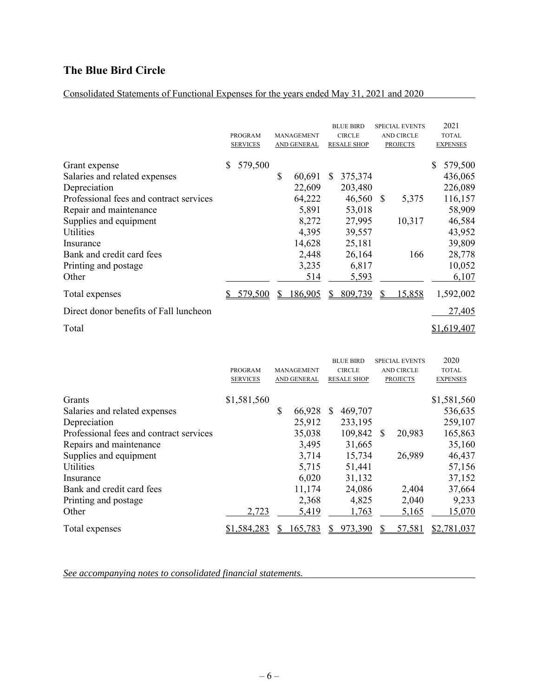### Consolidated Statements of Functional Expenses for the years ended May 31, 2021 and 2020

|                                                                                                                                                                                                                                              |   | <b>PROGRAM</b><br><b>SERVICES</b> |    | <b>MANAGEMENT</b><br>AND GENERAL                                                  |               | <b>BLUE BIRD</b><br><b>CIRCLE</b><br><b>RESALE SHOP</b>                                 |    | <b>SPECIAL EVENTS</b><br><b>AND CIRCLE</b><br><b>PROJECTS</b> | 2021<br><b>TOTAL</b><br><b>EXPENSES</b>                                                              |
|----------------------------------------------------------------------------------------------------------------------------------------------------------------------------------------------------------------------------------------------|---|-----------------------------------|----|-----------------------------------------------------------------------------------|---------------|-----------------------------------------------------------------------------------------|----|---------------------------------------------------------------|------------------------------------------------------------------------------------------------------|
| Grant expense<br>Salaries and related expenses<br>Depreciation<br>Professional fees and contract services<br>Repair and maintenance<br>Supplies and equipment<br>Utilities<br>Insurance<br>Bank and credit card fees<br>Printing and postage | S | 579,500                           | \$ | 60,691<br>22,609<br>64,222<br>5,891<br>8,272<br>4,395<br>14,628<br>2,448<br>3,235 | <sup>\$</sup> | 375,374<br>203,480<br>46,560<br>53,018<br>27,995<br>39,557<br>25,181<br>26,164<br>6,817 | -S | 5,375<br>10,317<br>166                                        | 579,500<br>436,065<br>226,089<br>116,157<br>58,909<br>46,584<br>43,952<br>39,809<br>28,778<br>10,052 |
| Other<br>Total expenses                                                                                                                                                                                                                      |   | 579,500                           | S  | 514<br>186,905                                                                    | S             | 5,593<br>809,739                                                                        |    | 15,858                                                        | 6,107<br>1,592,002                                                                                   |
| Direct donor benefits of Fall luncheon                                                                                                                                                                                                       |   |                                   |    |                                                                                   |               |                                                                                         |    |                                                               | 27,405                                                                                               |
| Total                                                                                                                                                                                                                                        |   |                                   |    |                                                                                   |               |                                                                                         |    |                                                               | \$1,619,407                                                                                          |

|                                         | <b>PROGRAM</b><br><b>SERVICES</b> | <b>MANAGEMENT</b><br>AND GENERAL |   | <b>BLUE BIRD</b><br><b>CIRCLE</b><br><b>RESALE SHOP</b> |          | <b>SPECIAL EVENTS</b><br><b>AND CIRCLE</b><br><b>PROJECTS</b> | 2020<br><b>TOTAL</b><br><b>EXPENSES</b> |
|-----------------------------------------|-----------------------------------|----------------------------------|---|---------------------------------------------------------|----------|---------------------------------------------------------------|-----------------------------------------|
|                                         | \$1,581,560                       |                                  |   |                                                         |          |                                                               |                                         |
| Grants                                  |                                   |                                  |   |                                                         |          |                                                               | \$1,581,560                             |
| Salaries and related expenses           |                                   | \$<br>66,928                     | S | 469,707                                                 |          |                                                               | 536,635                                 |
| Depreciation                            |                                   | 25,912                           |   | 233,195                                                 |          |                                                               | 259,107                                 |
| Professional fees and contract services |                                   | 35,038                           |   | 109,842                                                 | <b>S</b> | 20,983                                                        | 165,863                                 |
| Repairs and maintenance                 |                                   | 3,495                            |   | 31,665                                                  |          |                                                               | 35,160                                  |
| Supplies and equipment                  |                                   | 3,714                            |   | 15,734                                                  |          | 26,989                                                        | 46,437                                  |
| <b>Utilities</b>                        |                                   | 5,715                            |   | 51,441                                                  |          |                                                               | 57,156                                  |
| Insurance                               |                                   | 6,020                            |   | 31,132                                                  |          |                                                               | 37,152                                  |
| Bank and credit card fees               |                                   | 11,174                           |   | 24,086                                                  |          | 2,404                                                         | 37,664                                  |
| Printing and postage                    |                                   | 2,368                            |   | 4,825                                                   |          | 2,040                                                         | 9,233                                   |
| Other                                   | 2,723                             | 5,419                            |   | 1,763                                                   |          | 5,165                                                         | 15,070                                  |
| Total expenses                          | \$1,584,283                       | 165,783                          |   | 973,390                                                 |          | 57,581                                                        | \$2,781,037                             |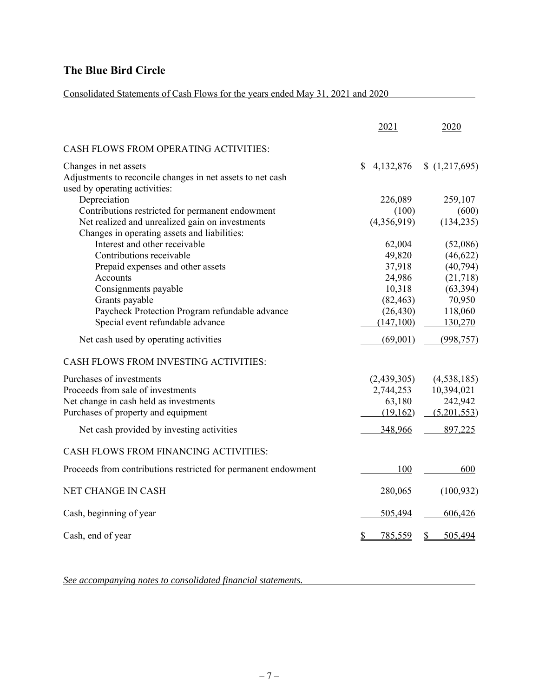### Consolidated Statements of Cash Flows for the years ended May 31, 2021 and 2020

|                                                                                                                      | 2021           | 2020          |
|----------------------------------------------------------------------------------------------------------------------|----------------|---------------|
| CASH FLOWS FROM OPERATING ACTIVITIES:                                                                                |                |               |
| Changes in net assets<br>Adjustments to reconcile changes in net assets to net cash<br>used by operating activities: | 4,132,876<br>S | (1,217,695)   |
| Depreciation                                                                                                         | 226,089        | 259,107       |
| Contributions restricted for permanent endowment                                                                     | (100)          | (600)         |
| Net realized and unrealized gain on investments                                                                      | (4,356,919)    | (134, 235)    |
| Changes in operating assets and liabilities:                                                                         |                |               |
| Interest and other receivable                                                                                        | 62,004         | (52,086)      |
| Contributions receivable                                                                                             | 49,820         | (46,622)      |
| Prepaid expenses and other assets                                                                                    | 37,918         | (40, 794)     |
| Accounts                                                                                                             | 24,986         | (21,718)      |
| Consignments payable                                                                                                 | 10,318         | (63, 394)     |
| Grants payable                                                                                                       | (82, 463)      | 70,950        |
| Paycheck Protection Program refundable advance                                                                       | (26, 430)      | 118,060       |
| Special event refundable advance                                                                                     | (147,100)      | 130,270       |
| Net cash used by operating activities                                                                                | (69,001)       | (998, 757)    |
| CASH FLOWS FROM INVESTING ACTIVITIES:                                                                                |                |               |
| Purchases of investments                                                                                             | (2,439,305)    | (4, 538, 185) |
| Proceeds from sale of investments                                                                                    | 2,744,253      | 10,394,021    |
| Net change in cash held as investments                                                                               | 63,180         | 242,942       |
| Purchases of property and equipment                                                                                  | (19,162)       | (5,201,553)   |
| Net cash provided by investing activities                                                                            | 348,966        | 897,225       |
| CASH FLOWS FROM FINANCING ACTIVITIES:                                                                                |                |               |
| Proceeds from contributions restricted for permanent endowment                                                       | 100            | 600           |
| NET CHANGE IN CASH                                                                                                   | 280,065        | (100, 932)    |
| Cash, beginning of year                                                                                              | 505,494        | 606,426       |
| Cash, end of year                                                                                                    | 785,559<br>\$  | 505,494<br>S  |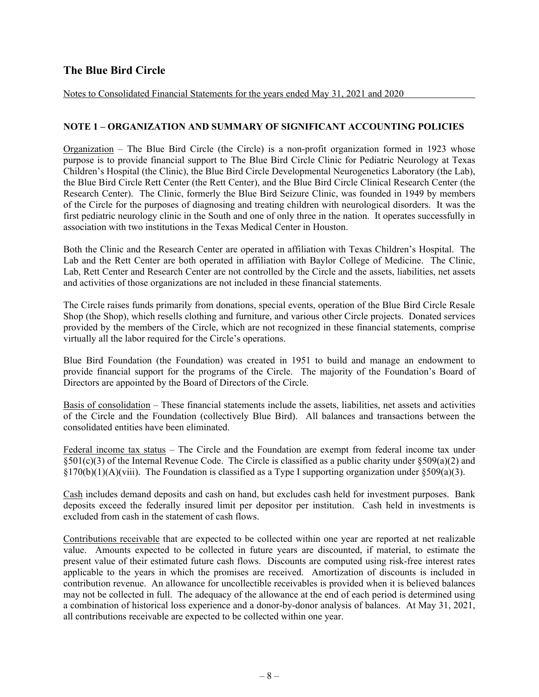#### Notes to Consolidated Financial Statements for the years ended May 31, 2021 and 2020

#### **NOTE 1 – ORGANIZATION AND SUMMARY OF SIGNIFICANT ACCOUNTING POLICIES**

 $Organization$  – The Blue Bird Circle (the Circle) is a non-profit organization formed in 1923 whose purpose is to provide financial support to The Blue Bird Circle Clinic for Pediatric Neurology at Texas Children's Hospital (the Clinic), the Blue Bird Circle Developmental Neurogenetics Laboratory (the Lab), the Blue Bird Circle Rett Center (the Rett Center), and the Blue Bird Circle Clinical Research Center (the Research Center). The Clinic, formerly the Blue Bird Seizure Clinic, was founded in 1949 by members of the Circle for the purposes of diagnosing and treating children with neurological disorders. It was the first pediatric neurology clinic in the South and one of only three in the nation. It operates successfully in association with two institutions in the Texas Medical Center in Houston.

Both the Clinic and the Research Center are operated in affiliation with Texas Children's Hospital. The Lab and the Rett Center are both operated in affiliation with Baylor College of Medicine. The Clinic, Lab, Rett Center and Research Center are not controlled by the Circle and the assets, liabilities, net assets and activities of those organizations are not included in these financial statements.

The Circle raises funds primarily from donations, special events, operation of the Blue Bird Circle Resale Shop (the Shop), which resells clothing and furniture, and various other Circle projects. Donated services provided by the members of the Circle, which are not recognized in these financial statements, comprise virtually all the labor required for the Circle's operations.

Blue Bird Foundation (the Foundation) was created in 1951 to build and manage an endowment to provide financial support for the programs of the Circle. The majority of the Foundation's Board of Directors are appointed by the Board of Directors of the Circle.

Basis of consolidation – These financial statements include the assets, liabilities, net assets and activities of the Circle and the Foundation (collectively Blue Bird). All balances and transactions between the consolidated entities have been eliminated.

Federal income tax status – The Circle and the Foundation are exempt from federal income tax under  $\S501(c)(3)$  of the Internal Revenue Code. The Circle is classified as a public charity under  $\S509(a)(2)$  and  $\S170(b)(1)(A)(viii)$ . The Foundation is classified as a Type I supporting organization under  $\S509(a)(3)$ .

Cash includes demand deposits and cash on hand, but excludes cash held for investment purposes. Bank deposits exceed the federally insured limit per depositor per institution. Cash held in investments is excluded from cash in the statement of cash flows.

Contributions receivable that are expected to be collected within one year are reported at net realizable value. Amounts expected to be collected in future years are discounted, if material, to estimate the present value of their estimated future cash flows. Discounts are computed using risk-free interest rates applicable to the years in which the promises are received. Amortization of discounts is included in contribution revenue. An allowance for uncollectible receivables is provided when it is believed balances may not be collected in full. The adequacy of the allowance at the end of each period is determined using a combination of historical loss experience and a donor-by-donor analysis of balances. At May 31, 2021, all contributions receivable are expected to be collected within one year.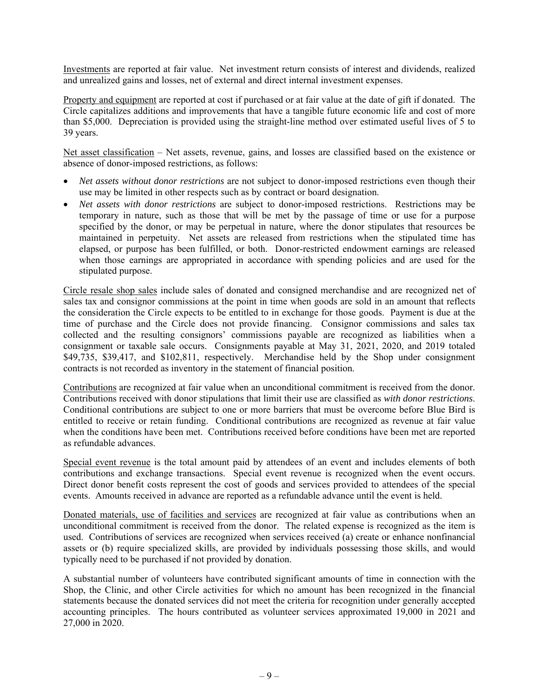Investments are reported at fair value. Net investment return consists of interest and dividends, realized and unrealized gains and losses, net of external and direct internal investment expenses.

Property and equipment are reported at cost if purchased or at fair value at the date of gift if donated. The Circle capitalizes additions and improvements that have a tangible future economic life and cost of more than \$5,000. Depreciation is provided using the straight-line method over estimated useful lives of 5 to 39 years.

Net asset classification – Net assets, revenue, gains, and losses are classified based on the existence or absence of donor-imposed restrictions, as follows:

- *Net assets without donor restrictions* are not subject to donor-imposed restrictions even though their use may be limited in other respects such as by contract or board designation.
- *Net assets with donor restrictions* are subject to donor-imposed restrictions. Restrictions may be temporary in nature, such as those that will be met by the passage of time or use for a purpose specified by the donor, or may be perpetual in nature, where the donor stipulates that resources be maintained in perpetuity. Net assets are released from restrictions when the stipulated time has elapsed, or purpose has been fulfilled, or both. Donor-restricted endowment earnings are released when those earnings are appropriated in accordance with spending policies and are used for the stipulated purpose.

Circle resale shop sales include sales of donated and consigned merchandise and are recognized net of sales tax and consignor commissions at the point in time when goods are sold in an amount that reflects the consideration the Circle expects to be entitled to in exchange for those goods. Payment is due at the time of purchase and the Circle does not provide financing. Consignor commissions and sales tax collected and the resulting consignors' commissions payable are recognized as liabilities when a consignment or taxable sale occurs. Consignments payable at May 31, 2021, 2020, and 2019 totaled \$49,735, \$39,417, and \$102,811, respectively. Merchandise held by the Shop under consignment contracts is not recorded as inventory in the statement of financial position.

Contributions are recognized at fair value when an unconditional commitment is received from the donor. Contributions received with donor stipulations that limit their use are classified as *with donor restrictions*. Conditional contributions are subject to one or more barriers that must be overcome before Blue Bird is entitled to receive or retain funding. Conditional contributions are recognized as revenue at fair value when the conditions have been met. Contributions received before conditions have been met are reported as refundable advances.

Special event revenue is the total amount paid by attendees of an event and includes elements of both contributions and exchange transactions. Special event revenue is recognized when the event occurs. Direct donor benefit costs represent the cost of goods and services provided to attendees of the special events. Amounts received in advance are reported as a refundable advance until the event is held.

Donated materials, use of facilities and services are recognized at fair value as contributions when an unconditional commitment is received from the donor. The related expense is recognized as the item is used. Contributions of services are recognized when services received (a) create or enhance nonfinancial assets or (b) require specialized skills, are provided by individuals possessing those skills, and would typically need to be purchased if not provided by donation.

A substantial number of volunteers have contributed significant amounts of time in connection with the Shop, the Clinic, and other Circle activities for which no amount has been recognized in the financial statements because the donated services did not meet the criteria for recognition under generally accepted accounting principles. The hours contributed as volunteer services approximated 19,000 in 2021 and 27,000 in 2020.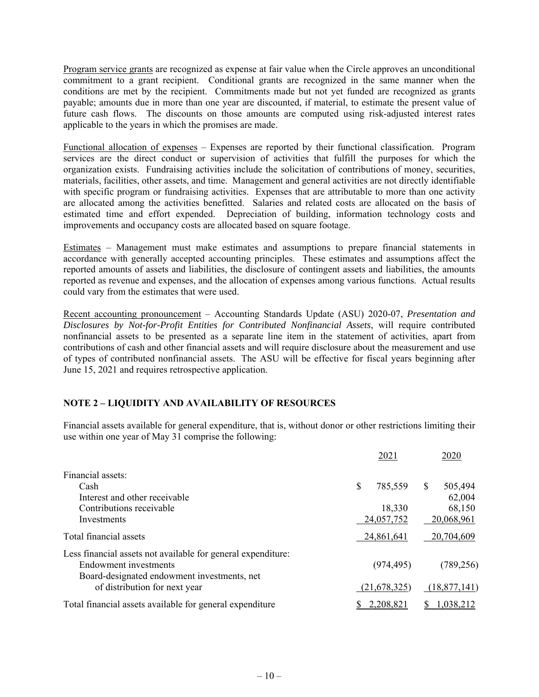Program service grants are recognized as expense at fair value when the Circle approves an unconditional commitment to a grant recipient. Conditional grants are recognized in the same manner when the conditions are met by the recipient. Commitments made but not yet funded are recognized as grants payable; amounts due in more than one year are discounted, if material, to estimate the present value of future cash flows. The discounts on those amounts are computed using risk-adjusted interest rates applicable to the years in which the promises are made.

Functional allocation of expenses – Expenses are reported by their functional classification. Program services are the direct conduct or supervision of activities that fulfill the purposes for which the organization exists. Fundraising activities include the solicitation of contributions of money, securities, materials, facilities, other assets, and time. Management and general activities are not directly identifiable with specific program or fundraising activities. Expenses that are attributable to more than one activity are allocated among the activities benefitted. Salaries and related costs are allocated on the basis of estimated time and effort expended. Depreciation of building, information technology costs and improvements and occupancy costs are allocated based on square footage.

Estimates – Management must make estimates and assumptions to prepare financial statements in accordance with generally accepted accounting principles. These estimates and assumptions affect the reported amounts of assets and liabilities, the disclosure of contingent assets and liabilities, the amounts reported as revenue and expenses, and the allocation of expenses among various functions. Actual results could vary from the estimates that were used.

Recent accounting pronouncement – Accounting Standards Update (ASU) 2020-07, *Presentation and Disclosures by Not-for-Profit Entities for Contributed Nonfinancial Assets*, will require contributed nonfinancial assets to be presented as a separate line item in the statement of activities, apart from contributions of cash and other financial assets and will require disclosure about the measurement and use of types of contributed nonfinancial assets. The ASU will be effective for fiscal years beginning after June 15, 2021 and requires retrospective application.

#### **NOTE 2 – LIQUIDITY AND AVAILABILITY OF RESOURCES**

Financial assets available for general expenditure, that is, without donor or other restrictions limiting their use within one year of May 31 comprise the following:

|                                                                                                                                      |   | 2021         | 2020           |
|--------------------------------------------------------------------------------------------------------------------------------------|---|--------------|----------------|
| Financial assets:                                                                                                                    |   |              |                |
| Cash                                                                                                                                 | S | 785,559      | \$<br>505,494  |
| Interest and other receivable                                                                                                        |   |              | 62,004         |
| Contributions receivable                                                                                                             |   | 18,330       | 68,150         |
| Investments                                                                                                                          |   | 24,057,752   | 20,068,961     |
| Total financial assets                                                                                                               |   | 24,861,641   | 20,704,609     |
| Less financial assets not available for general expenditure:<br>Endowment investments<br>Board-designated endowment investments, net |   | (974, 495)   | (789, 256)     |
| of distribution for next year                                                                                                        |   | (21,678,325) | (18, 877, 141) |
| Total financial assets available for general expenditure                                                                             |   | 2,208,821    | 1,038,212      |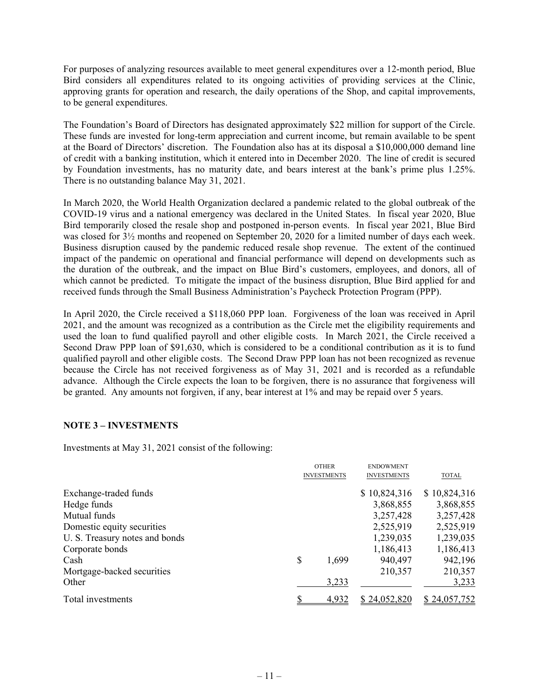For purposes of analyzing resources available to meet general expenditures over a 12-month period, Blue Bird considers all expenditures related to its ongoing activities of providing services at the Clinic, approving grants for operation and research, the daily operations of the Shop, and capital improvements, to be general expenditures.

The Foundation's Board of Directors has designated approximately \$22 million for support of the Circle. These funds are invested for long-term appreciation and current income, but remain available to be spent at the Board of Directors' discretion. The Foundation also has at its disposal a \$10,000,000 demand line of credit with a banking institution, which it entered into in December 2020. The line of credit is secured by Foundation investments, has no maturity date, and bears interest at the bank's prime plus 1.25%. There is no outstanding balance May 31, 2021.

In March 2020, the World Health Organization declared a pandemic related to the global outbreak of the COVID-19 virus and a national emergency was declared in the United States. In fiscal year 2020, Blue Bird temporarily closed the resale shop and postponed in-person events. In fiscal year 2021, Blue Bird was closed for 3½ months and reopened on September 20, 2020 for a limited number of days each week. Business disruption caused by the pandemic reduced resale shop revenue. The extent of the continued impact of the pandemic on operational and financial performance will depend on developments such as the duration of the outbreak, and the impact on Blue Bird's customers, employees, and donors, all of which cannot be predicted. To mitigate the impact of the business disruption, Blue Bird applied for and received funds through the Small Business Administration's Paycheck Protection Program (PPP).

In April 2020, the Circle received a \$118,060 PPP loan. Forgiveness of the loan was received in April 2021, and the amount was recognized as a contribution as the Circle met the eligibility requirements and used the loan to fund qualified payroll and other eligible costs. In March 2021, the Circle received a Second Draw PPP loan of \$91,630, which is considered to be a conditional contribution as it is to fund qualified payroll and other eligible costs. The Second Draw PPP loan has not been recognized as revenue because the Circle has not received forgiveness as of May 31, 2021 and is recorded as a refundable advance. Although the Circle expects the loan to be forgiven, there is no assurance that forgiveness will be granted. Any amounts not forgiven, if any, bear interest at 1% and may be repaid over 5 years.

#### **NOTE 3 – INVESTMENTS**

Investments at May 31, 2021 consist of the following:

|                                | <b>OTHER</b><br><b>INVESTMENTS</b> | <b>ENDOWMENT</b><br><b>INVESTMENTS</b> | <b>TOTAL</b> |
|--------------------------------|------------------------------------|----------------------------------------|--------------|
| Exchange-traded funds          |                                    | \$10,824,316                           | \$10,824,316 |
| Hedge funds                    |                                    | 3,868,855                              | 3,868,855    |
| Mutual funds                   |                                    | 3,257,428                              | 3,257,428    |
| Domestic equity securities     |                                    | 2,525,919                              | 2,525,919    |
| U. S. Treasury notes and bonds |                                    | 1,239,035                              | 1,239,035    |
| Corporate bonds                |                                    | 1,186,413                              | 1,186,413    |
| Cash                           | \$<br>1,699                        | 940,497                                | 942,196      |
| Mortgage-backed securities     |                                    | 210,357                                | 210,357      |
| Other                          | 3,233                              |                                        | 3,233        |
| Total investments              | 4,932                              | \$24,052,820                           | \$24,057,752 |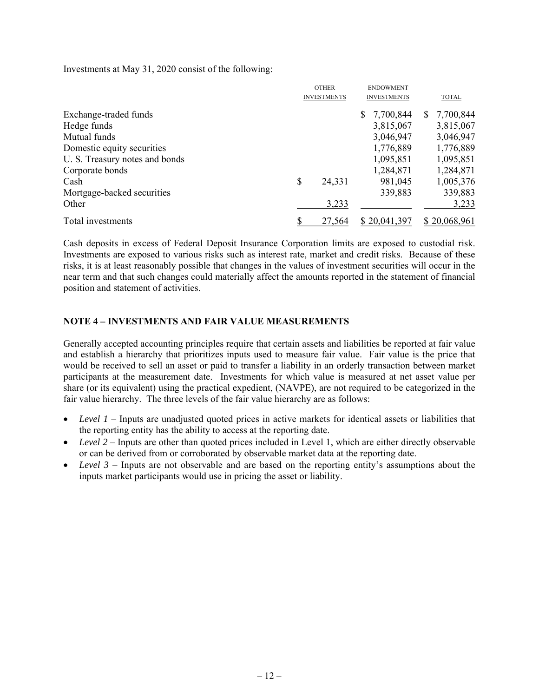Investments at May 31, 2020 consist of the following:

|                                | <b>OTHER</b><br><b>INVESTMENTS</b> |        | <b>ENDOWMENT</b><br><b>INVESTMENTS</b> |    | <b>TOTAL</b> |
|--------------------------------|------------------------------------|--------|----------------------------------------|----|--------------|
|                                |                                    |        |                                        |    |              |
| Exchange-traded funds          |                                    |        | 7,700,844                              | S. | 7,700,844    |
| Hedge funds                    |                                    |        | 3,815,067                              |    | 3,815,067    |
| Mutual funds                   |                                    |        | 3,046,947                              |    | 3,046,947    |
| Domestic equity securities     |                                    |        | 1,776,889                              |    | 1,776,889    |
| U. S. Treasury notes and bonds |                                    |        | 1,095,851                              |    | 1,095,851    |
| Corporate bonds                |                                    |        | 1,284,871                              |    | 1,284,871    |
| Cash                           | \$                                 | 24,331 | 981,045                                |    | 1,005,376    |
| Mortgage-backed securities     |                                    |        | 339,883                                |    | 339,883      |
| Other                          |                                    | 3,233  |                                        |    | 3,233        |
| Total investments              |                                    | 27,564 | \$20,041,397                           |    | \$20,068,961 |

Cash deposits in excess of Federal Deposit Insurance Corporation limits are exposed to custodial risk. Investments are exposed to various risks such as interest rate, market and credit risks. Because of these risks, it is at least reasonably possible that changes in the values of investment securities will occur in the near term and that such changes could materially affect the amounts reported in the statement of financial position and statement of activities.

#### **NOTE 4 – INVESTMENTS AND FAIR VALUE MEASUREMENTS**

Generally accepted accounting principles require that certain assets and liabilities be reported at fair value and establish a hierarchy that prioritizes inputs used to measure fair value. Fair value is the price that would be received to sell an asset or paid to transfer a liability in an orderly transaction between market participants at the measurement date. Investments for which value is measured at net asset value per share (or its equivalent) using the practical expedient, (NAVPE), are not required to be categorized in the fair value hierarchy. The three levels of the fair value hierarchy are as follows:

- *Level 1* Inputs are unadjusted quoted prices in active markets for identical assets or liabilities that the reporting entity has the ability to access at the reporting date.
- *Level* 2 Inputs are other than quoted prices included in Level 1, which are either directly observable or can be derived from or corroborated by observable market data at the reporting date.
- *Level 3* Inputs are not observable and are based on the reporting entity's assumptions about the inputs market participants would use in pricing the asset or liability.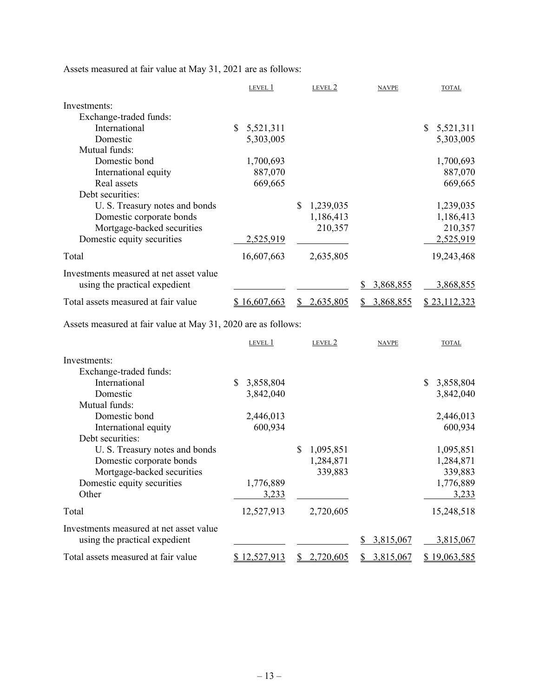Assets measured at fair value at May 31, 2021 are as follows:

|                                                                          | LEVEL 1             | LEVEL 2         | <b>NAVPE</b>    | <b>TOTAL</b>                |
|--------------------------------------------------------------------------|---------------------|-----------------|-----------------|-----------------------------|
| Investments:                                                             |                     |                 |                 |                             |
| Exchange-traded funds:                                                   |                     |                 |                 |                             |
| International                                                            | \$<br>5,521,311     |                 |                 | $\mathbb{S}^-$<br>5,521,311 |
| Domestic                                                                 | 5,303,005           |                 |                 | 5,303,005                   |
| Mutual funds:                                                            |                     |                 |                 |                             |
| Domestic bond                                                            | 1,700,693           |                 |                 | 1,700,693                   |
| International equity                                                     | 887,070             |                 |                 | 887,070                     |
| Real assets                                                              | 669,665             |                 |                 | 669,665                     |
| Debt securities:                                                         |                     |                 |                 |                             |
| U. S. Treasury notes and bonds                                           |                     | 1,239,035<br>\$ |                 | 1,239,035                   |
| Domestic corporate bonds                                                 |                     | 1,186,413       |                 | 1,186,413                   |
| Mortgage-backed securities                                               |                     | 210,357         |                 | 210,357                     |
| Domestic equity securities                                               | 2,525,919           |                 |                 | 2,525,919                   |
| Total                                                                    | 16,607,663          | 2,635,805       |                 | 19,243,468                  |
| Investments measured at net asset value<br>using the practical expedient |                     |                 | 3,868,855<br>\$ | 3,868,855                   |
| Total assets measured at fair value                                      | <u>\$16,607,663</u> | 2,635,805       | 3,868,855<br>S. | \$23,112,323                |

Assets measured at fair value at May 31, 2020 are as follows:

|                                         |    | LEVEL 1    |     | LEVEL 2   | <b>NAVPE</b>    | <b>TOTAL</b>    |
|-----------------------------------------|----|------------|-----|-----------|-----------------|-----------------|
| Investments:                            |    |            |     |           |                 |                 |
| Exchange-traded funds:                  |    |            |     |           |                 |                 |
| International                           | S. | 3,858,804  |     |           |                 | \$<br>3,858,804 |
| Domestic                                |    | 3,842,040  |     |           |                 | 3,842,040       |
| Mutual funds:                           |    |            |     |           |                 |                 |
| Domestic bond                           |    | 2,446,013  |     |           |                 | 2,446,013       |
| International equity                    |    | 600,934    |     |           |                 | 600,934         |
| Debt securities:                        |    |            |     |           |                 |                 |
| U. S. Treasury notes and bonds          |    |            | \$. | 1,095,851 |                 | 1,095,851       |
| Domestic corporate bonds                |    |            |     | 1,284,871 |                 | 1,284,871       |
| Mortgage-backed securities              |    |            |     | 339,883   |                 | 339,883         |
| Domestic equity securities              |    | 1,776,889  |     |           |                 | 1,776,889       |
| Other                                   |    | 3,233      |     |           |                 | 3,233           |
| Total                                   |    | 12,527,913 |     | 2,720,605 |                 | 15,248,518      |
| Investments measured at net asset value |    |            |     |           |                 |                 |
| using the practical expedient           |    |            |     |           | 3,815,067<br>S. | 3,815,067       |
| Total assets measured at fair value     |    | 12,527,913 |     | 2,720,605 | 3,815,067<br>S. | \$19,063,585    |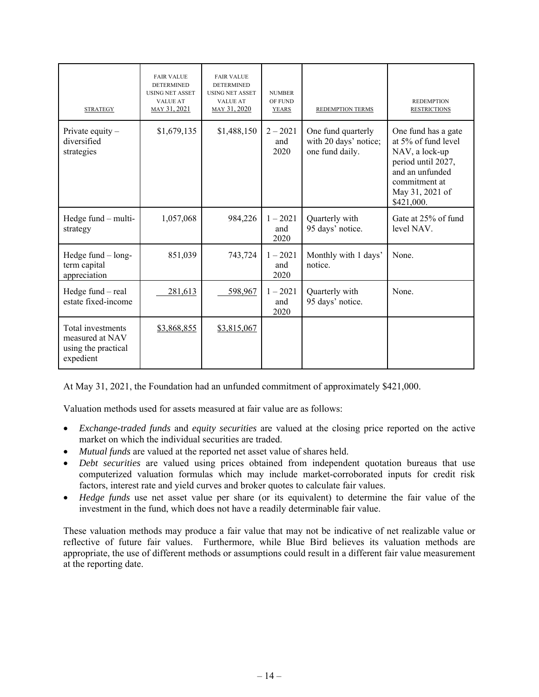| <b>STRATEGY</b>                                                          | <b>FAIR VALUE</b><br><b>DETERMINED</b><br><b>USING NET ASSET</b><br><b>VALUE AT</b><br>MAY 31, 2021 | <b>FAIR VALUE</b><br><b>DETERMINED</b><br><b>USING NET ASSET</b><br><b>VALUE AT</b><br>MAY 31, 2020 | <b>NUMBER</b><br>OF FUND<br><b>YEARS</b> | <b>REDEMPTION TERMS</b>                                        | <b>REDEMPTION</b><br><b>RESTRICTIONS</b>                                                                                                                |
|--------------------------------------------------------------------------|-----------------------------------------------------------------------------------------------------|-----------------------------------------------------------------------------------------------------|------------------------------------------|----------------------------------------------------------------|---------------------------------------------------------------------------------------------------------------------------------------------------------|
| Private equity $-$<br>diversified<br>strategies                          | \$1,679,135                                                                                         | \$1,488,150                                                                                         | $2 - 2021$<br>and<br>2020                | One fund quarterly<br>with 20 days' notice;<br>one fund daily. | One fund has a gate<br>at 5% of fund level<br>NAV, a lock-up<br>period until 2027,<br>and an unfunded<br>commitment at<br>May 31, 2021 of<br>\$421,000. |
| Hedge fund - multi-<br>strategy                                          | 1,057,068                                                                                           | 984,226                                                                                             | $1 - 2021$<br>and<br>2020                | Quarterly with<br>95 days' notice.                             | Gate at 25% of fund<br>level NAV.                                                                                                                       |
| Hedge fund - long-<br>term capital<br>appreciation                       | 851,039                                                                                             | 743,724                                                                                             | $1 - 2021$<br>and<br>2020                | Monthly with 1 days'<br>notice.                                | None.                                                                                                                                                   |
| Hedge fund - real<br>estate fixed-income                                 | 281,613                                                                                             | 598,967                                                                                             | $1 - 2021$<br>and<br>2020                | Quarterly with<br>95 days' notice.                             | None.                                                                                                                                                   |
| Total investments<br>measured at NAV<br>using the practical<br>expedient | \$3,868,855                                                                                         | \$3,815,067                                                                                         |                                          |                                                                |                                                                                                                                                         |

At May 31, 2021, the Foundation had an unfunded commitment of approximately \$421,000.

Valuation methods used for assets measured at fair value are as follows:

- *Exchange-traded funds* and *equity securities* are valued at the closing price reported on the active market on which the individual securities are traded.
- *Mutual funds* are valued at the reported net asset value of shares held.
- *Debt securities* are valued using prices obtained from independent quotation bureaus that use computerized valuation formulas which may include market-corroborated inputs for credit risk factors, interest rate and yield curves and broker quotes to calculate fair values.
- *Hedge funds* use net asset value per share (or its equivalent) to determine the fair value of the investment in the fund, which does not have a readily determinable fair value.

These valuation methods may produce a fair value that may not be indicative of net realizable value or reflective of future fair values. Furthermore, while Blue Bird believes its valuation methods are appropriate, the use of different methods or assumptions could result in a different fair value measurement at the reporting date.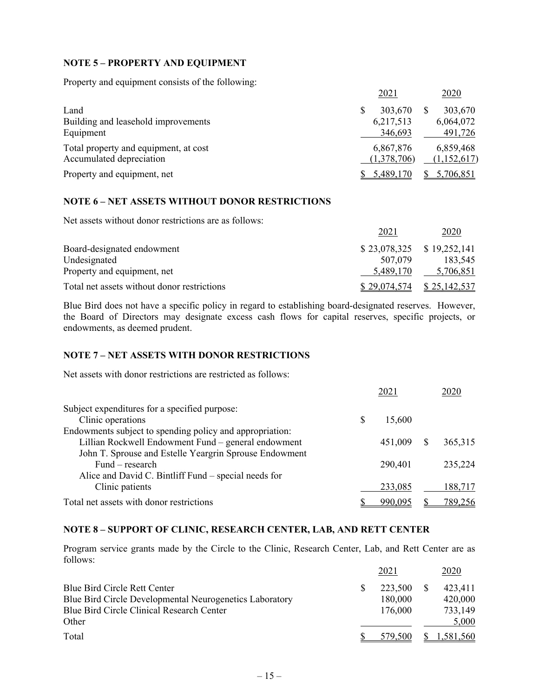#### **NOTE 5 – PROPERTY AND EQUIPMENT**

Property and equipment consists of the following:

|                                       | 2021        | 2020        |
|---------------------------------------|-------------|-------------|
| Land                                  | 303,670     | 303,670     |
| Building and leasehold improvements   | 6,217,513   | 6,064,072   |
| Equipment                             | 346,693     | 491,726     |
| Total property and equipment, at cost | 6,867,876   | 6,859,468   |
| Accumulated depreciation              | (1,378,706) | (1,152,617) |
| Property and equipment, net           | 5,489,170   | 5,706,851   |

#### **NOTE 6 – NET ASSETS WITHOUT DONOR RESTRICTIONS**

Net assets without donor restrictions are as follows:

|                                             | 2021         | 2020                        |
|---------------------------------------------|--------------|-----------------------------|
| Board-designated endowment                  |              | $$23,078,325$ $$19,252,141$ |
| Undesignated                                | 507,079      | 183,545                     |
| Property and equipment, net                 | 5.489.170    | 5,706,851                   |
| Total net assets without donor restrictions | \$29,074,574 | \$25,142,537                |

Blue Bird does not have a specific policy in regard to establishing board-designated reserves. However, the Board of Directors may designate excess cash flows for capital reserves, specific projects, or endowments, as deemed prudent.

#### **NOTE 7 – NET ASSETS WITH DONOR RESTRICTIONS**

Net assets with donor restrictions are restricted as follows:

|                                                          | 2021         | 2020     |
|----------------------------------------------------------|--------------|----------|
| Subject expenditures for a specified purpose:            |              |          |
| Clinic operations                                        | \$<br>15,600 |          |
| Endowments subject to spending policy and appropriation: |              |          |
| Lillian Rockwell Endowment Fund - general endowment      | 451,009      | 365, 315 |
| John T. Sprouse and Estelle Yeargrin Sprouse Endowment   |              |          |
| $Fund-research$                                          | 290,401      | 235,224  |
| Alice and David C. Bintliff Fund – special needs for     |              |          |
| Clinic patients                                          | 233,085      | 188,717  |
| Total net assets with donor restrictions                 | 990,095      | 789,256  |

#### **NOTE 8 – SUPPORT OF CLINIC, RESEARCH CENTER, LAB, AND RETT CENTER**

Program service grants made by the Circle to the Clinic, Research Center, Lab, and Rett Center are as follows:

|                                                         | 2021    | 2020      |
|---------------------------------------------------------|---------|-----------|
| Blue Bird Circle Rett Center                            | 223,500 | 423,411   |
| Blue Bird Circle Developmental Neurogenetics Laboratory | 180,000 | 420,000   |
| Blue Bird Circle Clinical Research Center               | 176,000 | 733,149   |
| Other                                                   |         | 5,000     |
| Total                                                   | 579.500 | 1,581,560 |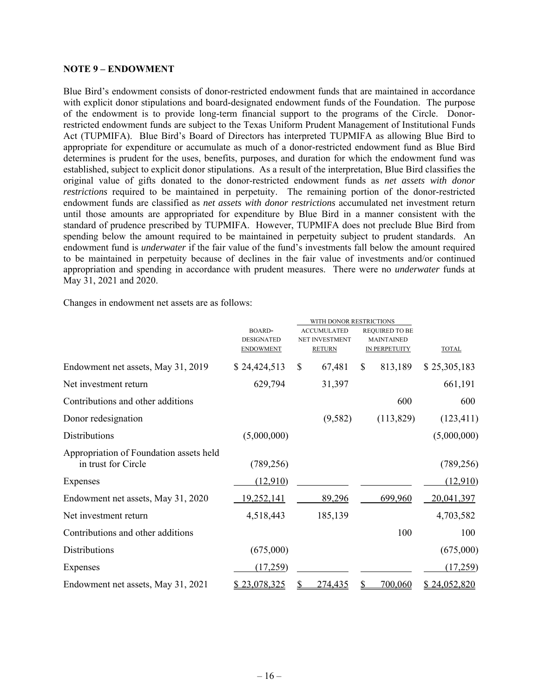#### **NOTE 9 – ENDOWMENT**

Blue Bird's endowment consists of donor-restricted endowment funds that are maintained in accordance with explicit donor stipulations and board-designated endowment funds of the Foundation. The purpose of the endowment is to provide long-term financial support to the programs of the Circle. Donorrestricted endowment funds are subject to the Texas Uniform Prudent Management of Institutional Funds Act (TUPMIFA). Blue Bird's Board of Directors has interpreted TUPMIFA as allowing Blue Bird to appropriate for expenditure or accumulate as much of a donor-restricted endowment fund as Blue Bird determines is prudent for the uses, benefits, purposes, and duration for which the endowment fund was established, subject to explicit donor stipulations. As a result of the interpretation, Blue Bird classifies the original value of gifts donated to the donor-restricted endowment funds as *net assets with donor restrictions* required to be maintained in perpetuity. The remaining portion of the donor-restricted endowment funds are classified as *net assets with donor restrictions* accumulated net investment return until those amounts are appropriated for expenditure by Blue Bird in a manner consistent with the standard of prudence prescribed by TUPMIFA. However, TUPMIFA does not preclude Blue Bird from spending below the amount required to be maintained in perpetuity subject to prudent standards. An endowment fund is *underwater* if the fair value of the fund's investments fall below the amount required to be maintained in perpetuity because of declines in the fair value of investments and/or continued appropriation and spending in accordance with prudent measures. There were no *underwater* funds at May 31, 2021 and 2020.

Changes in endowment net assets are as follows:

|                                         |                   |                | WITH DONOR RESTRICTIONS |                       |              |
|-----------------------------------------|-------------------|----------------|-------------------------|-----------------------|--------------|
|                                         | <b>BOARD-</b>     |                | <b>ACCUMULATED</b>      | <b>REQUIRED TO BE</b> |              |
|                                         | <b>DESIGNATED</b> | NET INVESTMENT |                         | <b>MAINTAINED</b>     |              |
|                                         | <b>ENDOWMENT</b>  |                | <b>RETURN</b>           | <b>IN PERPETUITY</b>  | <b>TOTAL</b> |
| Endowment net assets, May 31, 2019      | \$24,424,513      | \$             | 67,481                  | \$<br>813,189         | \$25,305,183 |
| Net investment return                   | 629,794           |                | 31,397                  |                       | 661,191      |
| Contributions and other additions       |                   |                |                         | 600                   | 600          |
| Donor redesignation                     |                   |                | (9,582)                 | (113,829)             | (123, 411)   |
| <b>Distributions</b>                    | (5,000,000)       |                |                         |                       | (5,000,000)  |
| Appropriation of Foundation assets held |                   |                |                         |                       |              |
| in trust for Circle                     | (789, 256)        |                |                         |                       | (789, 256)   |
|                                         |                   |                |                         |                       |              |
| Expenses                                | (12,910)          |                |                         |                       | (12,910)     |
| Endowment net assets, May 31, 2020      | <u>19,252,141</u> |                | 89,296                  | 699,960               | 20,041,397   |
| Net investment return                   | 4,518,443         |                | 185,139                 |                       | 4,703,582    |
| Contributions and other additions       |                   |                |                         | 100                   | 100          |
| Distributions                           | (675,000)         |                |                         |                       | (675,000)    |
| Expenses                                | (17,259)          |                |                         |                       | (17,259)     |
| Endowment net assets, May 31, 2021      | \$23,078,325      | S              | 274,435                 | \$<br>700,060         | \$24,052,820 |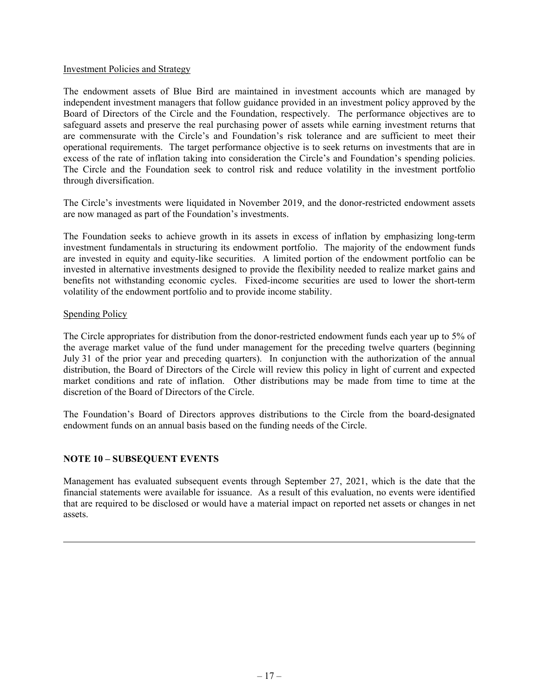#### Investment Policies and Strategy

The endowment assets of Blue Bird are maintained in investment accounts which are managed by independent investment managers that follow guidance provided in an investment policy approved by the Board of Directors of the Circle and the Foundation, respectively. The performance objectives are to safeguard assets and preserve the real purchasing power of assets while earning investment returns that are commensurate with the Circle's and Foundation's risk tolerance and are sufficient to meet their operational requirements. The target performance objective is to seek returns on investments that are in excess of the rate of inflation taking into consideration the Circle's and Foundation's spending policies. The Circle and the Foundation seek to control risk and reduce volatility in the investment portfolio through diversification.

The Circle's investments were liquidated in November 2019, and the donor-restricted endowment assets are now managed as part of the Foundation's investments.

The Foundation seeks to achieve growth in its assets in excess of inflation by emphasizing long-term investment fundamentals in structuring its endowment portfolio. The majority of the endowment funds are invested in equity and equity-like securities. A limited portion of the endowment portfolio can be invested in alternative investments designed to provide the flexibility needed to realize market gains and benefits not withstanding economic cycles. Fixed-income securities are used to lower the short-term volatility of the endowment portfolio and to provide income stability.

#### Spending Policy

The Circle appropriates for distribution from the donor-restricted endowment funds each year up to 5% of the average market value of the fund under management for the preceding twelve quarters (beginning July 31 of the prior year and preceding quarters). In conjunction with the authorization of the annual distribution, the Board of Directors of the Circle will review this policy in light of current and expected market conditions and rate of inflation. Other distributions may be made from time to time at the discretion of the Board of Directors of the Circle.

The Foundation's Board of Directors approves distributions to the Circle from the board-designated endowment funds on an annual basis based on the funding needs of the Circle.

#### **NOTE 10 – SUBSEQUENT EVENTS**

Management has evaluated subsequent events through September 27, 2021, which is the date that the financial statements were available for issuance. As a result of this evaluation, no events were identified that are required to be disclosed or would have a material impact on reported net assets or changes in net assets.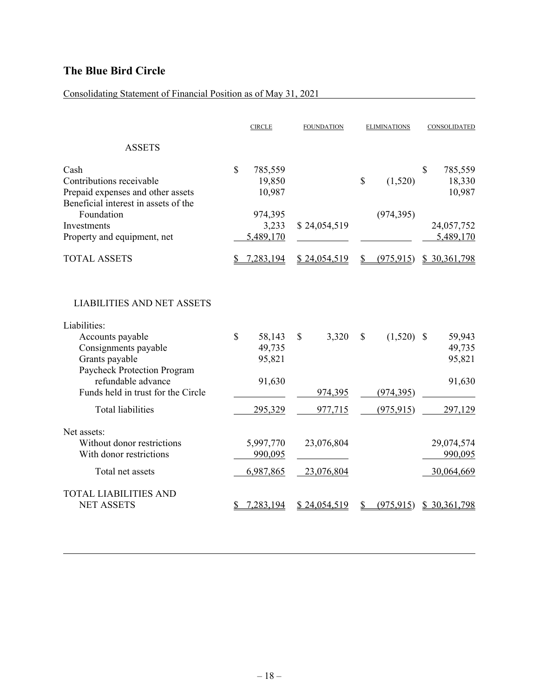### Consolidating Statement of Financial Position as of May 31, 2021

|                                                                                                                                                                                                                                        |             | <b>CIRCLE</b>                                   | <b>FOUNDATION</b>                            | <b>ELIMINATIONS</b> |                                     |               | CONSOLIDATED                                    |
|----------------------------------------------------------------------------------------------------------------------------------------------------------------------------------------------------------------------------------------|-------------|-------------------------------------------------|----------------------------------------------|---------------------|-------------------------------------|---------------|-------------------------------------------------|
| <b>ASSETS</b>                                                                                                                                                                                                                          |             |                                                 |                                              |                     |                                     |               |                                                 |
| Cash<br>Contributions receivable<br>Prepaid expenses and other assets<br>Beneficial interest in assets of the                                                                                                                          | \$          | 785,559<br>19,850<br>10,987                     |                                              | $\mathcal{S}$       | (1,520)                             | S             | 785,559<br>18,330<br>10,987                     |
| Foundation<br>Investments<br>Property and equipment, net                                                                                                                                                                               |             | 974,395<br>3,233<br>5,489,170                   | \$24,054,519                                 |                     | (974, 395)                          |               | 24,057,752<br>5,489,170                         |
| <b>TOTAL ASSETS</b>                                                                                                                                                                                                                    | S           | 7,283,194                                       | \$24,054,519                                 | \$                  | (975, 915)                          |               | \$30,361,798                                    |
| <b>LIABILITIES AND NET ASSETS</b><br>Liabilities:<br>Accounts payable<br>Consignments payable<br>Grants payable<br>Paycheck Protection Program<br>refundable advance<br>Funds held in trust for the Circle<br><b>Total liabilities</b> | $\mathbf S$ | 58,143<br>49,735<br>95,821<br>91,630<br>295,329 | 3,320<br><sup>\$</sup><br>974,395<br>977,715 | \$                  | (1,520)<br>(974, 395)<br>(975, 915) | <sup>\$</sup> | 59,943<br>49,735<br>95,821<br>91,630<br>297,129 |
| Net assets:<br>Without donor restrictions<br>With donor restrictions                                                                                                                                                                   |             | 5,997,770<br>990,095                            | 23,076,804                                   |                     |                                     |               | 29,074,574<br>990,095                           |
| Total net assets                                                                                                                                                                                                                       |             | 6,987,865                                       | 23,076,804                                   |                     |                                     |               | 30,064,669                                      |
| <b>TOTAL LIABILITIES AND</b><br><b>NET ASSETS</b>                                                                                                                                                                                      |             | 7,283,194                                       | \$24,054,519                                 |                     | (975, 915)                          |               | \$30,361,798                                    |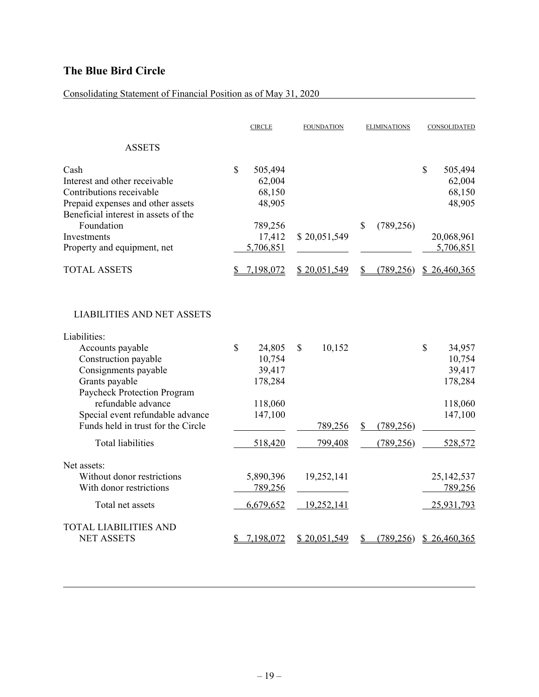### Consolidating Statement of Financial Position as of May 31, 2020

|                                                                                                                                                                                                                                                                        |             | <b>CIRCLE</b>                                               |              | <b>FOUNDATION</b>        | <b>ELIMINATIONS</b> |            |             | CONSOLIDATED                                                |
|------------------------------------------------------------------------------------------------------------------------------------------------------------------------------------------------------------------------------------------------------------------------|-------------|-------------------------------------------------------------|--------------|--------------------------|---------------------|------------|-------------|-------------------------------------------------------------|
| <b>ASSETS</b>                                                                                                                                                                                                                                                          |             |                                                             |              |                          |                     |            |             |                                                             |
| Cash<br>Interest and other receivable<br>Contributions receivable<br>Prepaid expenses and other assets<br>Beneficial interest in assets of the                                                                                                                         | $\mathbf S$ | 505,494<br>62,004<br>68,150<br>48,905                       |              |                          |                     |            | $\mathbf S$ | 505,494<br>62,004<br>68,150<br>48,905                       |
| Foundation<br>Investments<br>Property and equipment, net                                                                                                                                                                                                               |             | 789,256<br>17,412<br>5,706,851                              |              | \$20,051,549             | \$                  | (789, 256) |             | 20,068,961<br>5,706,851                                     |
| <b>TOTAL ASSETS</b>                                                                                                                                                                                                                                                    |             | 7,198,072                                                   |              | \$20,051,549             | S                   | (789, 256) |             | \$26,460,365                                                |
| <b>LIABILITIES AND NET ASSETS</b><br>Liabilities:<br>Accounts payable<br>Construction payable<br>Consignments payable<br>Grants payable<br>Paycheck Protection Program<br>refundable advance<br>Special event refundable advance<br>Funds held in trust for the Circle | \$          | 24,805<br>10,754<br>39,417<br>178,284<br>118,060<br>147,100 | $\mathbb{S}$ | 10,152<br><u>789,256</u> | \$                  | (789, 256) | $\mathbf S$ | 34,957<br>10,754<br>39,417<br>178,284<br>118,060<br>147,100 |
| <b>Total liabilities</b>                                                                                                                                                                                                                                               |             | 518,420                                                     |              | 799,408                  |                     | (789, 256) |             | 528,572                                                     |
| Net assets:<br>Without donor restrictions<br>With donor restrictions<br>Total net assets                                                                                                                                                                               |             | 5,890,396<br>789,256<br>6,679,652                           |              | 19,252,141<br>19,252,141 |                     |            |             | 25, 142, 537<br>789,256<br>25,931,793                       |
| <b>TOTAL LIABILITIES AND</b><br><b>NET ASSETS</b>                                                                                                                                                                                                                      |             | 7,198,072                                                   |              | \$20,051,549             | S                   | (789, 256) |             | \$26,460,365                                                |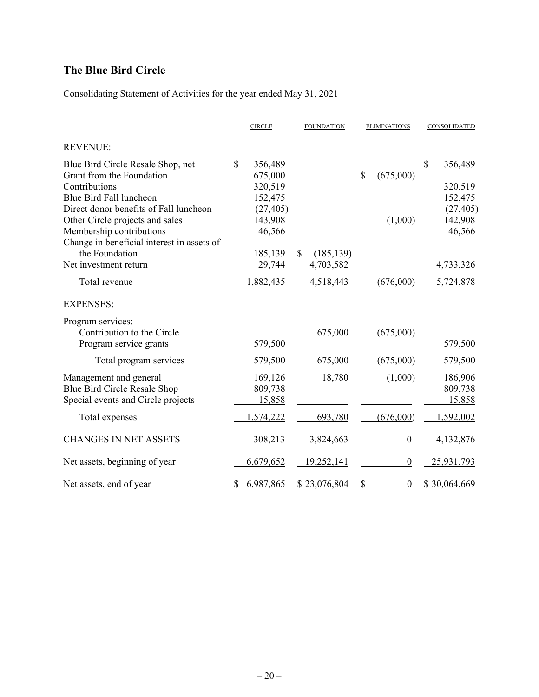### Consolidating Statement of Activities for the year ended May 31, 2021

|                                                                                                                                                     |              | <b>CIRCLE</b>                            | <b>FOUNDATION</b> |                         | <b>ELIMINATIONS</b> |                  | CONSOLIDATED                        |
|-----------------------------------------------------------------------------------------------------------------------------------------------------|--------------|------------------------------------------|-------------------|-------------------------|---------------------|------------------|-------------------------------------|
| <b>REVENUE:</b>                                                                                                                                     |              |                                          |                   |                         |                     |                  |                                     |
| Blue Bird Circle Resale Shop, net<br>Grant from the Foundation<br>Contributions<br>Blue Bird Fall luncheon                                          | $\mathbb{S}$ | 356,489<br>675,000<br>320,519<br>152,475 |                   |                         | \$                  | (675,000)        | \$<br>356,489<br>320,519<br>152,475 |
| Direct donor benefits of Fall luncheon<br>Other Circle projects and sales<br>Membership contributions<br>Change in beneficial interest in assets of |              | (27, 405)<br>143,908<br>46,566           |                   |                         |                     | (1,000)          | (27, 405)<br>142,908<br>46,566      |
| the Foundation<br>Net investment return                                                                                                             |              | 185,139<br>29,744                        | $\mathbb{S}$      | (185, 139)<br>4,703,582 |                     |                  | 4,733,326                           |
| Total revenue                                                                                                                                       |              | 1,882,435                                |                   | 4,518,443               |                     | (676,000)        | 5,724,878                           |
| <b>EXPENSES:</b>                                                                                                                                    |              |                                          |                   |                         |                     |                  |                                     |
| Program services:<br>Contribution to the Circle<br>Program service grants                                                                           |              | 579,500                                  |                   | 675,000                 |                     | (675,000)        | 579,500                             |
| Total program services                                                                                                                              |              | 579,500                                  |                   | 675,000                 |                     | (675,000)        | 579,500                             |
| Management and general<br>Blue Bird Circle Resale Shop<br>Special events and Circle projects                                                        |              | 169,126<br>809,738<br>15,858             |                   | 18,780                  |                     | (1,000)          | 186,906<br>809,738<br>15,858        |
| Total expenses                                                                                                                                      |              | 1,574,222                                |                   | 693,780                 |                     | (676,000)        | 1,592,002                           |
| <b>CHANGES IN NET ASSETS</b>                                                                                                                        |              | 308,213                                  |                   | 3,824,663               |                     | $\boldsymbol{0}$ | 4,132,876                           |
| Net assets, beginning of year                                                                                                                       |              | 6,679,652                                |                   | 19,252,141              |                     | $\boldsymbol{0}$ | 25,931,793                          |
| Net assets, end of year                                                                                                                             |              | 6,987,865                                |                   | \$23,076,804            | \$                  | $\boldsymbol{0}$ | \$30,064,669                        |